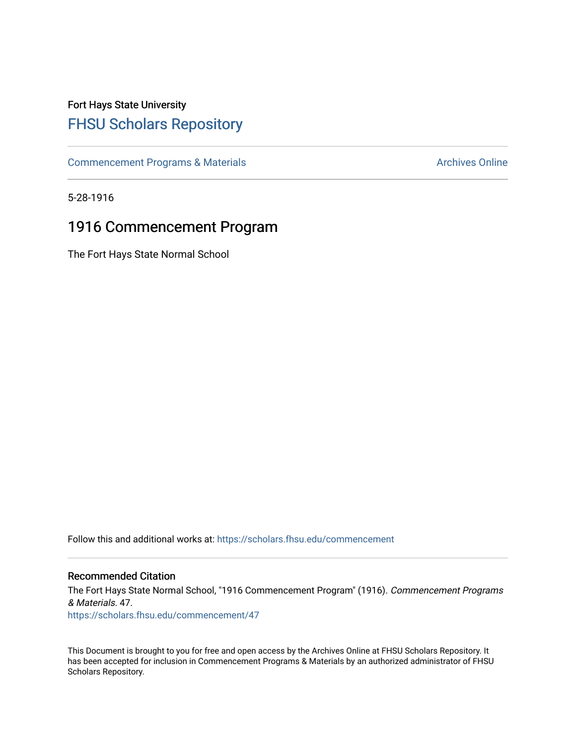## Fort Hays State University [FHSU Scholars Repository](https://scholars.fhsu.edu/)

[Commencement Programs & Materials](https://scholars.fhsu.edu/commencement) **Archives Online** Archives Online

5-28-1916

## 1916 Commencement Program

The Fort Hays State Normal School

Follow this and additional works at: [https://scholars.fhsu.edu/commencement](https://scholars.fhsu.edu/commencement?utm_source=scholars.fhsu.edu%2Fcommencement%2F47&utm_medium=PDF&utm_campaign=PDFCoverPages)

## Recommended Citation

The Fort Hays State Normal School, "1916 Commencement Program" (1916). Commencement Programs & Materials. 47. [https://scholars.fhsu.edu/commencement/47](https://scholars.fhsu.edu/commencement/47?utm_source=scholars.fhsu.edu%2Fcommencement%2F47&utm_medium=PDF&utm_campaign=PDFCoverPages) 

This Document is brought to you for free and open access by the Archives Online at FHSU Scholars Repository. It has been accepted for inclusion in Commencement Programs & Materials by an authorized administrator of FHSU Scholars Repository.